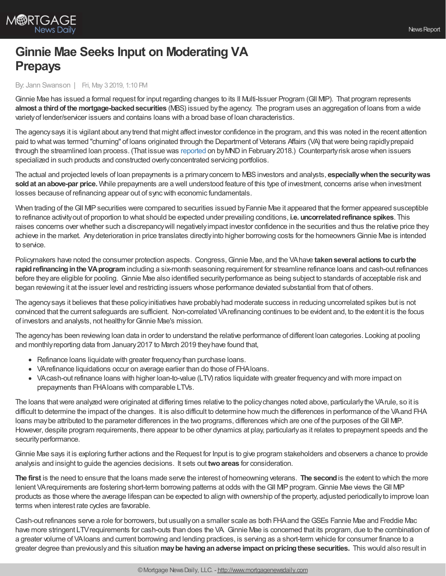## **Ginnie Mae Seeks Input on Moderating VA Prepays**

By: Jann Swanson | Fri, May 3 2019, 1:10 PM

Ginnie Mae has issued a formal request for input regarding changes to its II Multi-Issuer Program (GII MP). That program represents **almost a third of the mortgage-backed securities** (MBS) issued by the agency. The program uses an aggregation of loans from a wide varietyof lender/servicer issuers and contains loans with a broad base of loan characteristics.

The agency says it is vigilant about any trend that might affect investor confidence in the program, and this was noted in the recent attention paid to whatwas termed "churning" of loans originated through the Department of Veterans Affairs (VA) thatwere being rapidlyprepaid through the streamlined loan process. (That issue was [reported](http://www.mortgagenewsdaily.com/02092018_ginnie_mae_va_loans.asp) on byMNDin February2018.) Counterpartyrisk arose when issuers specialized in such products and constructed overlyconcentrated servicing portfolios.

The actual and projected levels of loan prepayments is a primaryconcern to MBSinvestors and analysts, **especiallywhenthe securitywas soldat anabove-par price.** While prepayments are a well understood feature of this type of investment, concerns arise when investment losses because of refinancing appear out of syncwith economic fundamentals.

When trading of the GII MIP securities were compared to securities issued by Fannie Mae it appeared that the former appeared susceptible to refinance activityout of proportion to what should be expected under prevailing conditions, **i.e. uncorrelatedrefinance spikes**. This raises concerns over whether such a discrepancywill negativelyimpact investor confidence in the securities and thus the relative price they achieve in the market. Anydeterioration in price translates directlyinto higher borrowing costs for the homeowners Ginnie Mae is intended to service.

Policymakers have noted the consumer protection aspects. Congress,Ginnie Mae, and the VAhave **takenseveral actions tocurbthe rapid refinancing in the VA program** including a six-month seasoning requirement for streamline refinance loans and cash-out refinances before theyare eligible for pooling. Ginnie Mae also identified securityperformance as being subject to standards of acceptable risk and began reviewing it at the issuer level and restricting issuers whose performance deviated substantial from that of others.

The agencysays it believes that these policyinitiatives have probablyhad moderate success in reducing uncorrelated spikes but is not convinced that the current safeguards are sufficient. Non-correlated VArefinancing continues to be evident and, to the extent it is the focus of investors and analysts, not healthy for Ginnie Mae's mission.

The agencyhas been reviewing loan data in order to understand the relative performance of different loan categories. Looking at pooling and monthlyreporting data from January2017 to March 2019 theyhave found that,

- Refinance loans liquidate with greater frequency than purchase loans.
- VArefinance liquidations occur on average earlier than do those of FHAloans.
- VAcash-out refinance loans with higher loan-to-value (LTV) ratios liquidate with greater frequency and with more impact on prepayments than FHAloans with comparable LTVs.

The loans that were analyzed were originated at differing times relative to the policy changes noted above, particularly the VArule, so it is difficult to determine the impact of the changes. It is also difficult to determine how much the differences in performance of the VAand FHA loans may be attributed to the parameter differences in the two programs, differences which are one of the purposes of the GII MP. However, despite program requirements, there appear to be other dynamics at play, particularlyas it relates to prepayment speeds and the security performance.

Ginnie Mae says it is exploring further actions and the Request for Input is to give program stakeholders and observers a chance to provide analysis and insight to guide the agencies decisions. It sets out **twoareas** for consideration.

**The first** is the need to ensure that the loans made serve the interest of homeowning veterans. **The second**is the extent to which the more lenient VA requirements are fostering short-term borrowing patterns at odds with the GII MIP program. Ginnie Mae views the GII MIP products as those where the average lifespan can be expected to align with ownership of the property, adjusted periodicallyto improve loan terms when interest rate cycles are favorable.

Cash-out refinances serve a role for borrowers, but usuallyon a smaller scale as both FHAand theGSEs Fannie Mae and Freddie Mac have more stringent LTV requirements for cash-outs than does the VA. Ginnie Mae is concerned that its program, due to the combination of a greater volume of VAloans and current borrowing and lending practices, is serving as a short-term vehicle for consumer finance to a greater degree than previouslyand this situation **maybe havinganadverse impact onpricingthese securities.** This would also result in